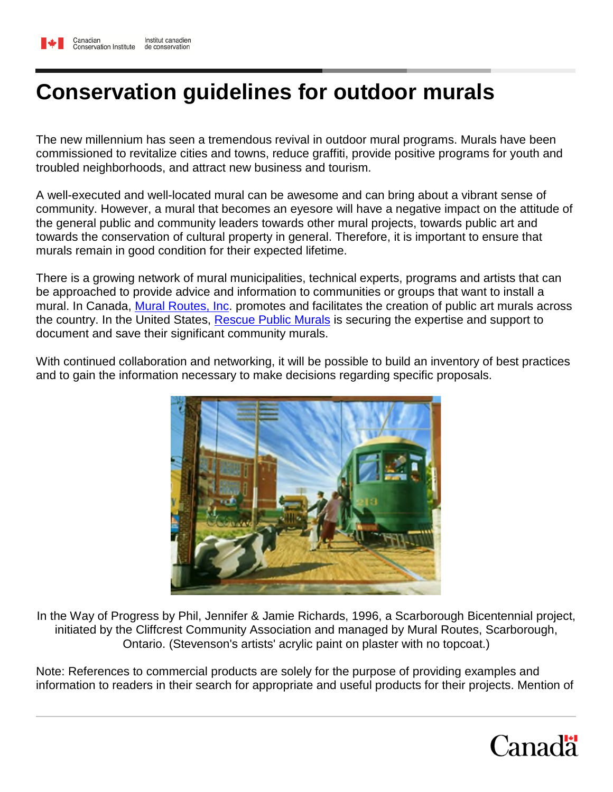# **Conservation guidelines for outdoor murals**

The new millennium has seen a tremendous revival in outdoor mural programs. Murals have been commissioned to revitalize cities and towns, reduce graffiti, provide positive programs for youth and troubled neighborhoods, and attract new business and tourism.

A well-executed and well-located mural can be awesome and can bring about a vibrant sense of community. However, a mural that becomes an eyesore will have a negative impact on the attitude of the general public and community leaders towards other mural projects, towards public art and towards the conservation of cultural property in general. Therefore, it is important to ensure that murals remain in good condition for their expected lifetime.

There is a growing network of mural municipalities, technical experts, programs and artists that can be approached to provide advice and information to communities or groups that want to install a mural. In Canada, [Mural Routes, Inc.](http://www.muralroutes.com/) promotes and facilitates the creation of public art murals across the country. In the United States, [Rescue Public Murals](http://www.heritagepreservation.org/RPM) is securing the expertise and support to document and save their significant community murals.

With continued collaboration and networking, it will be possible to build an inventory of best practices and to gain the information necessary to make decisions regarding specific proposals.



In the Way of Progress by Phil, Jennifer & Jamie Richards, 1996, a Scarborough Bicentennial project, initiated by the Cliffcrest Community Association and managed by Mural Routes, Scarborough, Ontario. (Stevenson's artists' acrylic paint on plaster with no topcoat.)

Note: References to commercial products are solely for the purpose of providing examples and information to readers in their search for appropriate and useful products for their projects. Mention of

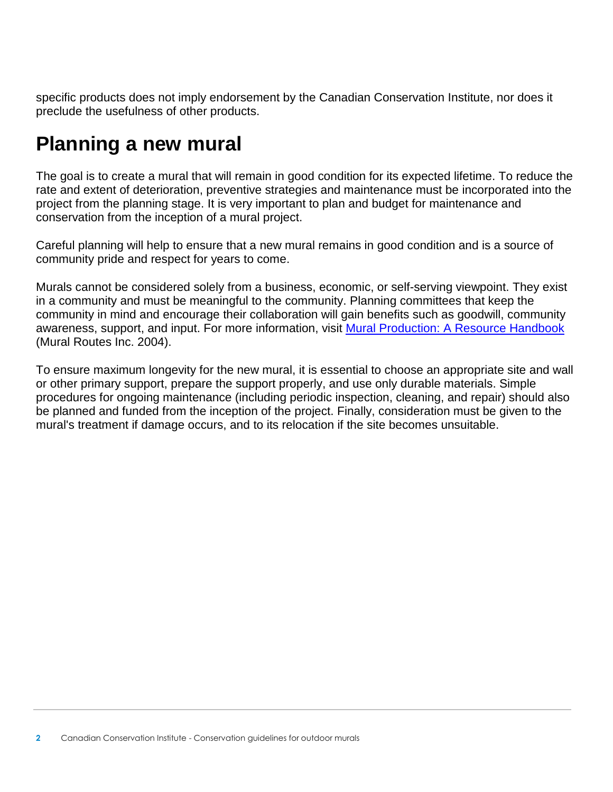specific products does not imply endorsement by the Canadian Conservation Institute, nor does it preclude the usefulness of other products.

# **Planning a new mural**

The goal is to create a mural that will remain in good condition for its expected lifetime. To reduce the rate and extent of deterioration, preventive strategies and maintenance must be incorporated into the project from the planning stage. It is very important to plan and budget for maintenance and conservation from the inception of a mural project.

Careful planning will help to ensure that a new mural remains in good condition and is a source of community pride and respect for years to come.

Murals cannot be considered solely from a business, economic, or self-serving viewpoint. They exist in a community and must be meaningful to the community. Planning committees that keep the community in mind and encourage their collaboration will gain benefits such as goodwill, community awareness, support, and input. For more information, visit [Mural Production: A Resource Handbook](http://www.muralroutes.com/handbook/handbook.htm) (Mural Routes Inc. 2004).

To ensure maximum longevity for the new mural, it is essential to choose an appropriate site and wall or other primary support, prepare the support properly, and use only durable materials. Simple procedures for ongoing maintenance (including periodic inspection, cleaning, and repair) should also be planned and funded from the inception of the project. Finally, consideration must be given to the mural's treatment if damage occurs, and to its relocation if the site becomes unsuitable.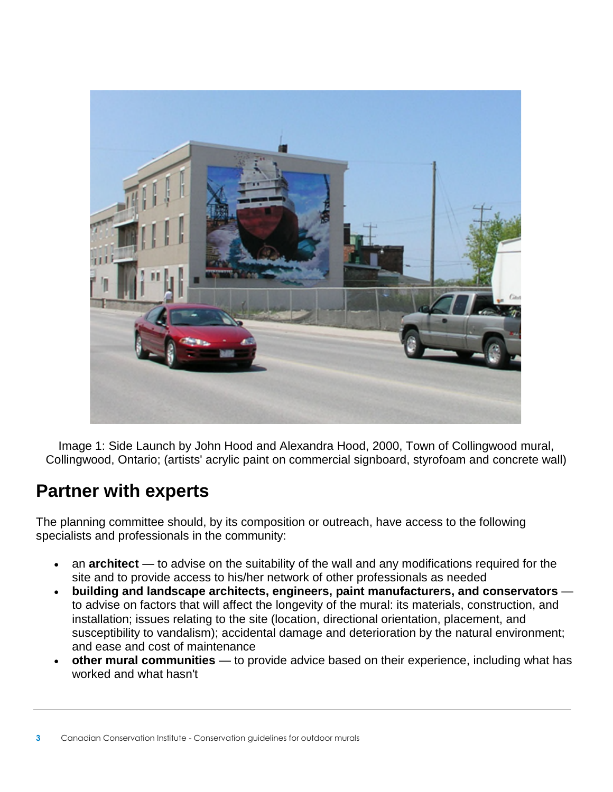

Image 1: Side Launch by John Hood and Alexandra Hood, 2000, Town of Collingwood mural, Collingwood, Ontario; (artists' acrylic paint on commercial signboard, styrofoam and concrete wall)

## **Partner with experts**

The planning committee should, by its composition or outreach, have access to the following specialists and professionals in the community:

- an **architect** to advise on the suitability of the wall and any modifications required for the site and to provide access to his/her network of other professionals as needed
- **building and landscape architects, engineers, paint manufacturers, and conservators** to advise on factors that will affect the longevity of the mural: its materials, construction, and installation; issues relating to the site (location, directional orientation, placement, and susceptibility to vandalism); accidental damage and deterioration by the natural environment; and ease and cost of maintenance
- **other mural communities** to provide advice based on their experience, including what has worked and what hasn't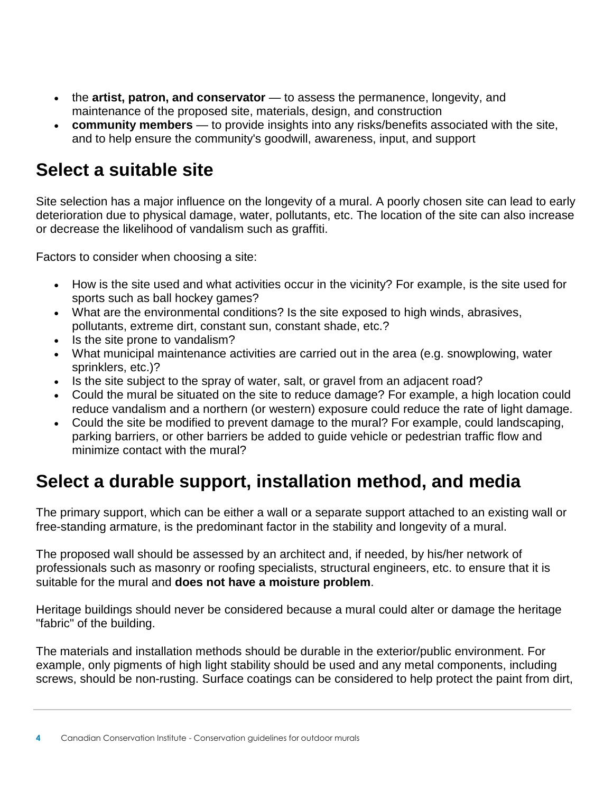- the **artist, patron, and conservator** to assess the permanence, longevity, and maintenance of the proposed site, materials, design, and construction
- **community members** to provide insights into any risks/benefits associated with the site, and to help ensure the community's goodwill, awareness, input, and support

## **Select a suitable site**

Site selection has a major influence on the longevity of a mural. A poorly chosen site can lead to early deterioration due to physical damage, water, pollutants, etc. The location of the site can also increase or decrease the likelihood of vandalism such as graffiti.

Factors to consider when choosing a site:

- How is the site used and what activities occur in the vicinity? For example, is the site used for sports such as ball hockey games?
- What are the environmental conditions? Is the site exposed to high winds, abrasives, pollutants, extreme dirt, constant sun, constant shade, etc.?
- Is the site prone to vandalism?
- What municipal maintenance activities are carried out in the area (e.g. snowplowing, water sprinklers, etc.)?
- Is the site subject to the spray of water, salt, or gravel from an adjacent road?
- Could the mural be situated on the site to reduce damage? For example, a high location could reduce vandalism and a northern (or western) exposure could reduce the rate of light damage.
- Could the site be modified to prevent damage to the mural? For example, could landscaping, parking barriers, or other barriers be added to guide vehicle or pedestrian traffic flow and minimize contact with the mural?

## **Select a durable support, installation method, and media**

The primary support, which can be either a wall or a separate support attached to an existing wall or free-standing armature, is the predominant factor in the stability and longevity of a mural.

The proposed wall should be assessed by an architect and, if needed, by his/her network of professionals such as masonry or roofing specialists, structural engineers, etc. to ensure that it is suitable for the mural and **does not have a moisture problem**.

Heritage buildings should never be considered because a mural could alter or damage the heritage "fabric" of the building.

The materials and installation methods should be durable in the exterior/public environment. For example, only pigments of high light stability should be used and any metal components, including screws, should be non-rusting. Surface coatings can be considered to help protect the paint from dirt,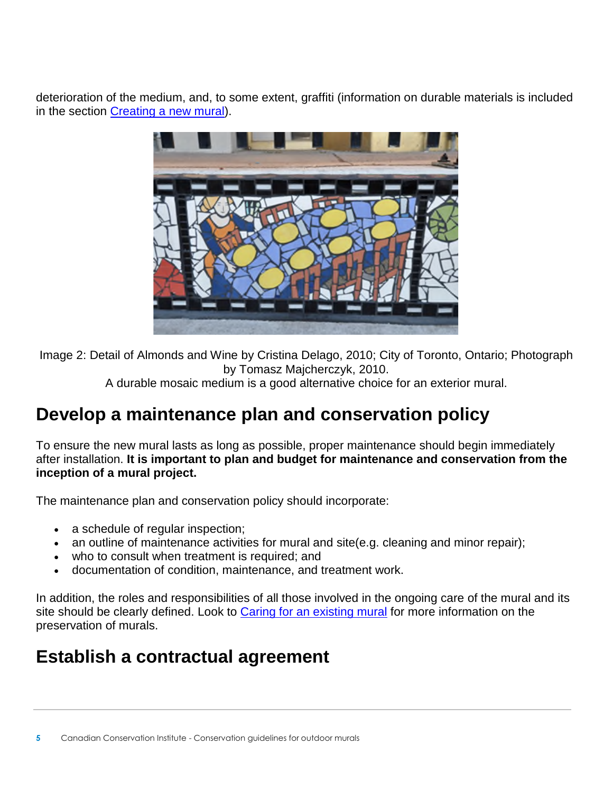deterioration of the medium, and, to some extent, graffiti (information on durable materials is included in the section [Creating a new mural\)](https://www.canada.ca/en/conservation-institute/services/care-objects/fine-art/conservation-guidelines-outdoor-murals/creating-new-mural.html).



Image 2: Detail of Almonds and Wine by Cristina Delago, 2010; City of Toronto, Ontario; Photograph by Tomasz Majcherczyk, 2010.

A durable mosaic medium is a good alternative choice for an exterior mural.

# **Develop a maintenance plan and conservation policy**

To ensure the new mural lasts as long as possible, proper maintenance should begin immediately after installation. **It is important to plan and budget for maintenance and conservation from the inception of a mural project.**

The maintenance plan and conservation policy should incorporate:

- a schedule of regular inspection;
- an outline of maintenance activities for mural and site(e.g. cleaning and minor repair);
- who to consult when treatment is required; and
- documentation of condition, maintenance, and treatment work.

In addition, the roles and responsibilities of all those involved in the ongoing care of the mural and its site should be clearly defined. Look to [Caring for an existing mural](https://www.canada.ca/en/conservation-institute/services/care-objects/fine-art/conservation-guidelines-outdoor-murals/caring-existing-mural.html) for more information on the preservation of murals.

# **Establish a contractual agreement**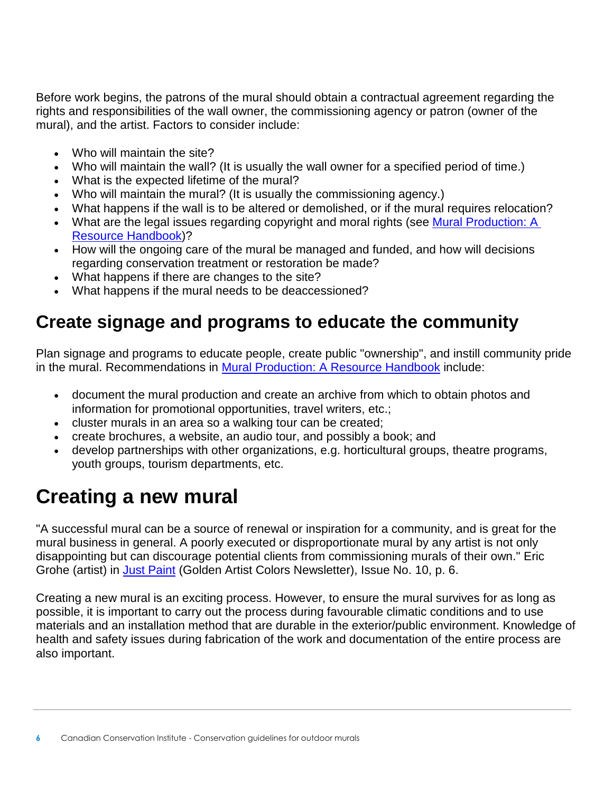Before work begins, the patrons of the mural should obtain a contractual agreement regarding the rights and responsibilities of the wall owner, the commissioning agency or patron (owner of the mural), and the artist. Factors to consider include:

- Who will maintain the site?
- Who will maintain the wall? (It is usually the wall owner for a specified period of time.)
- What is the expected lifetime of the mural?
- Who will maintain the mural? (It is usually the commissioning agency.)
- What happens if the wall is to be altered or demolished, or if the mural requires relocation?
- What are the legal issues regarding copyright and moral rights (see Mural Production: A [Resource Handbook\)](http://www.muralroutes.com/handbook/handbook.htm)?
- How will the ongoing care of the mural be managed and funded, and how will decisions regarding conservation treatment or restoration be made?
- What happens if there are changes to the site?
- What happens if the mural needs to be deaccessioned?

## **Create signage and programs to educate the community**

Plan signage and programs to educate people, create public "ownership", and instill community pride in the mural. Recommendations in [Mural Production: A Resource Handbook](http://www.muralroutes.com/handbook/handbook.htm) include:

- document the mural production and create an archive from which to obtain photos and information for promotional opportunities, travel writers, etc.;
- cluster murals in an area so a walking tour can be created;
- create brochures, a website, an audio tour, and possibly a book; and
- develop partnerships with other organizations, e.g. horticultural groups, theatre programs, youth groups, tourism departments, etc.

# **Creating a new mural**

"A successful mural can be a source of renewal or inspiration for a community, and is great for the mural business in general. A poorly executed or disproportionate mural by any artist is not only disappointing but can discourage potential clients from commissioning murals of their own." Eric Grohe (artist) in [Just Paint](http://www.justpaint.org/mural-painting/) (Golden Artist Colors Newsletter), Issue No. 10, p. 6.

Creating a new mural is an exciting process. However, to ensure the mural survives for as long as possible, it is important to carry out the process during favourable climatic conditions and to use materials and an installation method that are durable in the exterior/public environment. Knowledge of health and safety issues during fabrication of the work and documentation of the entire process are also important.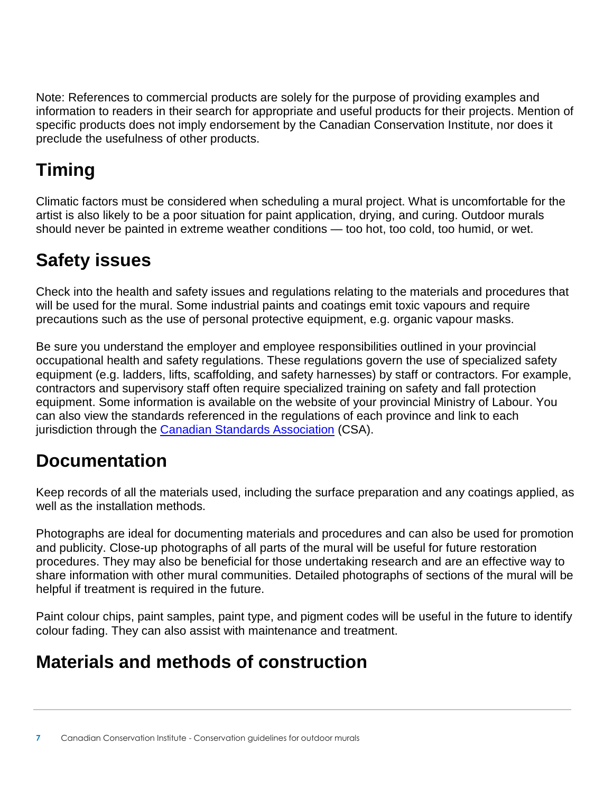Note: References to commercial products are solely for the purpose of providing examples and information to readers in their search for appropriate and useful products for their projects. Mention of specific products does not imply endorsement by the Canadian Conservation Institute, nor does it preclude the usefulness of other products.

# **Timing**

Climatic factors must be considered when scheduling a mural project. What is uncomfortable for the artist is also likely to be a poor situation for paint application, drying, and curing. Outdoor murals should never be painted in extreme weather conditions — too hot, too cold, too humid, or wet.

# **Safety issues**

Check into the health and safety issues and regulations relating to the materials and procedures that will be used for the mural. Some industrial paints and coatings emit toxic vapours and require precautions such as the use of personal protective equipment, e.g. organic vapour masks.

Be sure you understand the employer and employee responsibilities outlined in your provincial occupational health and safety regulations. These regulations govern the use of specialized safety equipment (e.g. ladders, lifts, scaffolding, and safety harnesses) by staff or contractors. For example, contractors and supervisory staff often require specialized training on safety and fall protection equipment. Some information is available on the website of your provincial Ministry of Labour. You can also view the standards referenced in the regulations of each province and link to each jurisdiction through the [Canadian Standards Association](http://www.csagroup.org/) (CSA).

# **Documentation**

Keep records of all the materials used, including the surface preparation and any coatings applied, as well as the installation methods.

Photographs are ideal for documenting materials and procedures and can also be used for promotion and publicity. Close-up photographs of all parts of the mural will be useful for future restoration procedures. They may also be beneficial for those undertaking research and are an effective way to share information with other mural communities. Detailed photographs of sections of the mural will be helpful if treatment is required in the future.

Paint colour chips, paint samples, paint type, and pigment codes will be useful in the future to identify colour fading. They can also assist with maintenance and treatment.

# **Materials and methods of construction**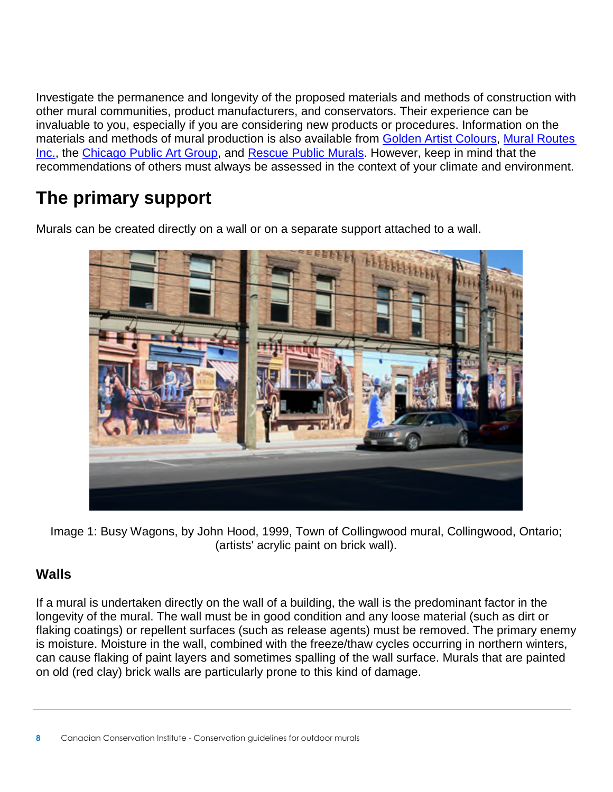Investigate the permanence and longevity of the proposed materials and methods of construction with other mural communities, product manufacturers, and conservators. Their experience can be invaluable to you, especially if you are considering new products or procedures. Information on the materials and methods of mural production is also available from [Golden Artist Colours,](http://www.goldenpaints.com/technicaldata/murals.php) [Mural Routes](http://www.muralroutes.com/)  [Inc.,](http://www.muralroutes.com/) the [Chicago Public Art Group,](http://cpag.net/guide) and [Rescue Public Murals.](http://www.heritagepreservation.org/RPM/about.html) However, keep in mind that the recommendations of others must always be assessed in the context of your climate and environment.

# **The primary support**

Murals can be created directly on a wall or on a separate support attached to a wall.



Image 1: Busy Wagons, by John Hood, 1999, Town of Collingwood mural, Collingwood, Ontario; (artists' acrylic paint on brick wall).

### **Walls**

If a mural is undertaken directly on the wall of a building, the wall is the predominant factor in the longevity of the mural. The wall must be in good condition and any loose material (such as dirt or flaking coatings) or repellent surfaces (such as release agents) must be removed. The primary enemy is moisture. Moisture in the wall, combined with the freeze/thaw cycles occurring in northern winters, can cause flaking of paint layers and sometimes spalling of the wall surface. Murals that are painted on old (red clay) brick walls are particularly prone to this kind of damage.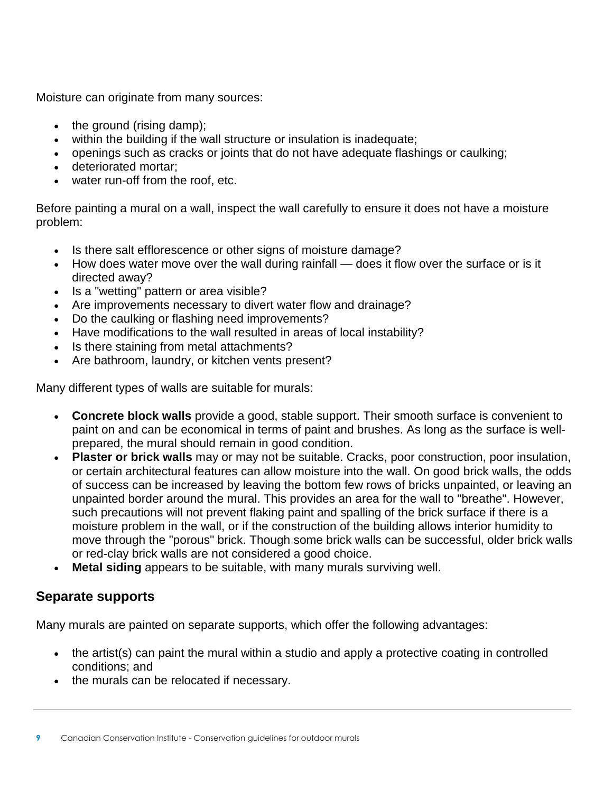Moisture can originate from many sources:

- $\bullet$  the ground (rising damp);
- within the building if the wall structure or insulation is inadequate;
- openings such as cracks or joints that do not have adequate flashings or caulking;
- deteriorated mortar;
- water run-off from the roof, etc.

Before painting a mural on a wall, inspect the wall carefully to ensure it does not have a moisture problem:

- Is there salt efflorescence or other signs of moisture damage?
- How does water move over the wall during rainfall does it flow over the surface or is it directed away?
- Is a "wetting" pattern or area visible?
- Are improvements necessary to divert water flow and drainage?
- Do the caulking or flashing need improvements?
- Have modifications to the wall resulted in areas of local instability?
- Is there staining from metal attachments?
- Are bathroom, laundry, or kitchen vents present?

Many different types of walls are suitable for murals:

- **Concrete block walls** provide a good, stable support. Their smooth surface is convenient to paint on and can be economical in terms of paint and brushes. As long as the surface is wellprepared, the mural should remain in good condition.
- **Plaster or brick walls** may or may not be suitable. Cracks, poor construction, poor insulation, or certain architectural features can allow moisture into the wall. On good brick walls, the odds of success can be increased by leaving the bottom few rows of bricks unpainted, or leaving an unpainted border around the mural. This provides an area for the wall to "breathe". However, such precautions will not prevent flaking paint and spalling of the brick surface if there is a moisture problem in the wall, or if the construction of the building allows interior humidity to move through the "porous" brick. Though some brick walls can be successful, older brick walls or red-clay brick walls are not considered a good choice.
- **Metal siding** appears to be suitable, with many murals surviving well.

#### **Separate supports**

Many murals are painted on separate supports, which offer the following advantages:

- the artist(s) can paint the mural within a studio and apply a protective coating in controlled conditions; and
- the murals can be relocated if necessary.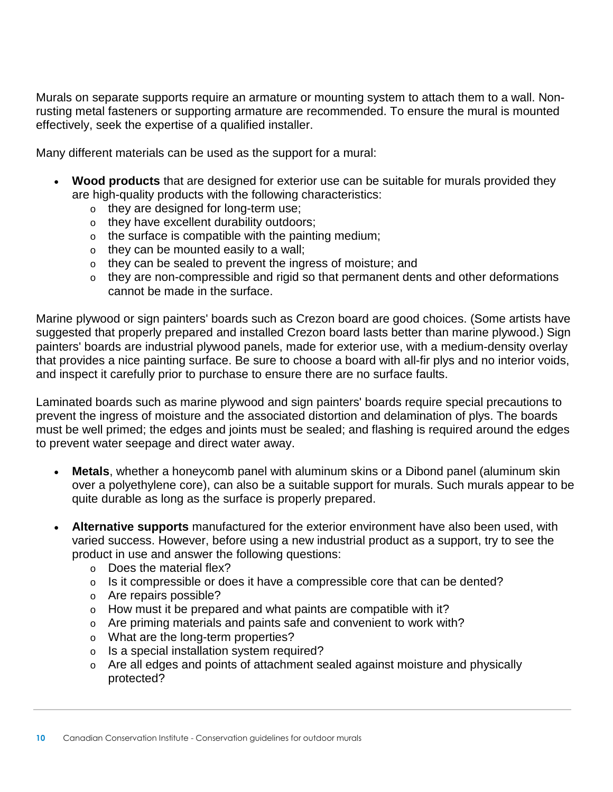Murals on separate supports require an armature or mounting system to attach them to a wall. Nonrusting metal fasteners or supporting armature are recommended. To ensure the mural is mounted effectively, seek the expertise of a qualified installer.

Many different materials can be used as the support for a mural:

- **Wood products** that are designed for exterior use can be suitable for murals provided they are high-quality products with the following characteristics:
	- o they are designed for long-term use;
	- o they have excellent durability outdoors;
	- $\circ$  the surface is compatible with the painting medium;
	- o they can be mounted easily to a wall;
	- o they can be sealed to prevent the ingress of moisture; and
	- o they are non-compressible and rigid so that permanent dents and other deformations cannot be made in the surface.

Marine plywood or sign painters' boards such as Crezon board are good choices. (Some artists have suggested that properly prepared and installed Crezon board lasts better than marine plywood.) Sign painters' boards are industrial plywood panels, made for exterior use, with a medium-density overlay that provides a nice painting surface. Be sure to choose a board with all-fir plys and no interior voids, and inspect it carefully prior to purchase to ensure there are no surface faults.

Laminated boards such as marine plywood and sign painters' boards require special precautions to prevent the ingress of moisture and the associated distortion and delamination of plys. The boards must be well primed; the edges and joints must be sealed; and flashing is required around the edges to prevent water seepage and direct water away.

- **Metals**, whether a honeycomb panel with aluminum skins or a Dibond panel (aluminum skin over a polyethylene core), can also be a suitable support for murals. Such murals appear to be quite durable as long as the surface is properly prepared.
- **Alternative supports** manufactured for the exterior environment have also been used, with varied success. However, before using a new industrial product as a support, try to see the product in use and answer the following questions:
	- o Does the material flex?
	- $\circ$  Is it compressible or does it have a compressible core that can be dented?
	- o Are repairs possible?
	- $\circ$  How must it be prepared and what paints are compatible with it?
	- o Are priming materials and paints safe and convenient to work with?
	- o What are the long-term properties?
	- o Is a special installation system required?
	- o Are all edges and points of attachment sealed against moisture and physically protected?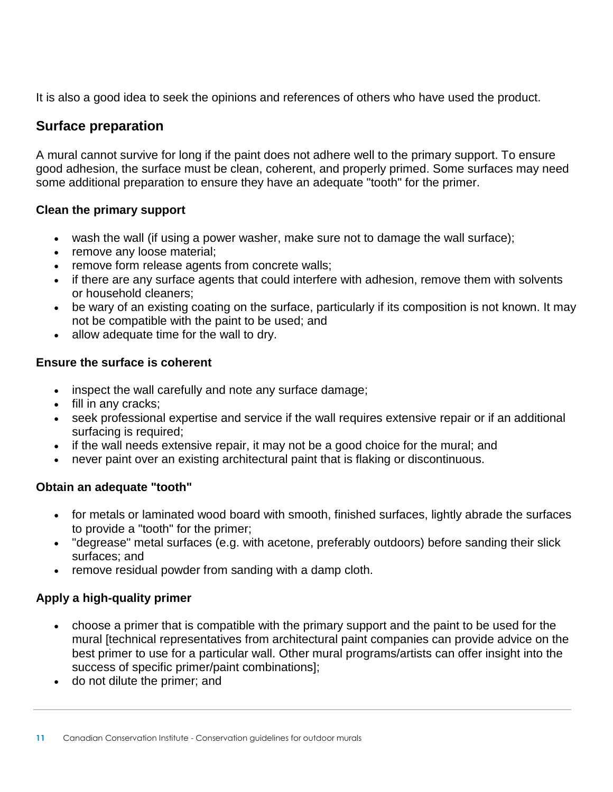It is also a good idea to seek the opinions and references of others who have used the product.

#### **Surface preparation**

A mural cannot survive for long if the paint does not adhere well to the primary support. To ensure good adhesion, the surface must be clean, coherent, and properly primed. Some surfaces may need some additional preparation to ensure they have an adequate "tooth" for the primer.

#### **Clean the primary support**

- wash the wall (if using a power washer, make sure not to damage the wall surface);
- remove any loose material;
- remove form release agents from concrete walls;
- if there are any surface agents that could interfere with adhesion, remove them with solvents or household cleaners;
- be wary of an existing coating on the surface, particularly if its composition is not known. It may not be compatible with the paint to be used; and
- allow adequate time for the wall to dry.

#### **Ensure the surface is coherent**

- inspect the wall carefully and note any surface damage;
- fill in any cracks;
- seek professional expertise and service if the wall requires extensive repair or if an additional surfacing is required;
- if the wall needs extensive repair, it may not be a good choice for the mural; and
- never paint over an existing architectural paint that is flaking or discontinuous.

#### **Obtain an adequate "tooth"**

- for metals or laminated wood board with smooth, finished surfaces, lightly abrade the surfaces to provide a "tooth" for the primer;
- "degrease" metal surfaces (e.g. with acetone, preferably outdoors) before sanding their slick surfaces; and
- remove residual powder from sanding with a damp cloth.

#### **Apply a high-quality primer**

- choose a primer that is compatible with the primary support and the paint to be used for the mural [technical representatives from architectural paint companies can provide advice on the best primer to use for a particular wall. Other mural programs/artists can offer insight into the success of specific primer/paint combinations];
- do not dilute the primer; and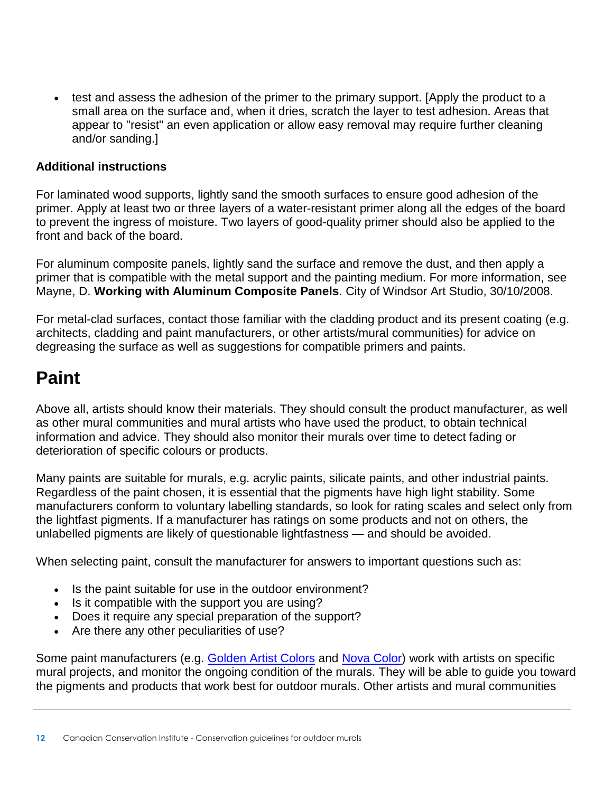• test and assess the adhesion of the primer to the primary support. [Apply the product to a small area on the surface and, when it dries, scratch the layer to test adhesion. Areas that appear to "resist" an even application or allow easy removal may require further cleaning and/or sanding.]

#### **Additional instructions**

For laminated wood supports, lightly sand the smooth surfaces to ensure good adhesion of the primer. Apply at least two or three layers of a water-resistant primer along all the edges of the board to prevent the ingress of moisture. Two layers of good-quality primer should also be applied to the front and back of the board.

For aluminum composite panels, lightly sand the surface and remove the dust, and then apply a primer that is compatible with the metal support and the painting medium. For more information, see Mayne, D. **Working with Aluminum Composite Panels**. City of Windsor Art Studio, 30/10/2008.

For metal-clad surfaces, contact those familiar with the cladding product and its present coating (e.g. architects, cladding and paint manufacturers, or other artists/mural communities) for advice on degreasing the surface as well as suggestions for compatible primers and paints.

## **Paint**

Above all, artists should know their materials. They should consult the product manufacturer, as well as other mural communities and mural artists who have used the product, to obtain technical information and advice. They should also monitor their murals over time to detect fading or deterioration of specific colours or products.

Many paints are suitable for murals, e.g. acrylic paints, silicate paints, and other industrial paints. Regardless of the paint chosen, it is essential that the pigments have high light stability. Some manufacturers conform to voluntary labelling standards, so look for rating scales and select only from the lightfast pigments. If a manufacturer has ratings on some products and not on others, the unlabelled pigments are likely of questionable lightfastness — and should be avoided.

When selecting paint, consult the manufacturer for answers to important questions such as:

- Is the paint suitable for use in the outdoor environment?
- Is it compatible with the support you are using?
- Does it require any special preparation of the support?
- Are there any other peculiarities of use?

Some paint manufacturers (e.g. [Golden Artist Colors](http://www.goldenpaints.com/) and [Nova Color\)](http://www.novacolorpaint.com/) work with artists on specific mural projects, and monitor the ongoing condition of the murals. They will be able to guide you toward the pigments and products that work best for outdoor murals. Other artists and mural communities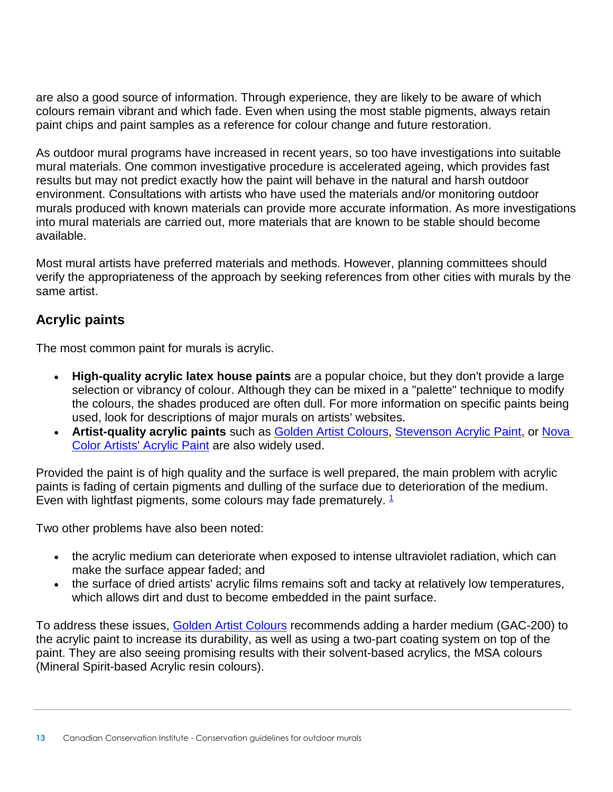are also a good source of information. Through experience, they are likely to be aware of which colours remain vibrant and which fade. Even when using the most stable pigments, always retain paint chips and paint samples as a reference for colour change and future restoration.

As outdoor mural programs have increased in recent years, so too have investigations into suitable mural materials. One common investigative procedure is accelerated ageing, which provides fast results but may not predict exactly how the paint will behave in the natural and harsh outdoor environment. Consultations with artists who have used the materials and/or monitoring outdoor murals produced with known materials can provide more accurate information. As more investigations into mural materials are carried out, more materials that are known to be stable should become available.

Most mural artists have preferred materials and methods. However, planning committees should verify the appropriateness of the approach by seeking references from other cities with murals by the same artist.

#### **Acrylic paints**

The most common paint for murals is acrylic.

- **High-quality acrylic latex house paints** are a popular choice, but they don't provide a large selection or vibrancy of colour. Although they can be mixed in a "palette" technique to modify the colours, the shades produced are often dull. For more information on specific paints being used, look for descriptions of major murals on artists' websites.
- **Artist-quality acrylic paints** such as [Golden Artist Colours,](http://www.goldenpaints.com/) [Stevenson Acrylic Paint,](http://www.dlstevenson.ca/) or [Nova](http://www.novacolorpaint.com/)  [Color Artists' Acrylic Paint](http://www.novacolorpaint.com/) are also widely used.

Provided the paint is of high quality and the surface is well prepared, the main problem with acrylic paints is fading of certain pigments and dulling of the surface due to deterioration of the medium. Even with lightfast pigments, some colours may fade prematurely.  $1$ 

Two other problems have also been noted:

- the acrylic medium can deteriorate when exposed to intense ultraviolet radiation, which can make the surface appear faded; and
- the surface of dried artists' acrylic films remains soft and tacky at relatively low temperatures, which allows dirt and dust to become embedded in the paint surface.

To address these issues, [Golden Artist Colours](http://www.goldenpaints.com/) recommends adding a harder medium (GAC-200) to the acrylic paint to increase its durability, as well as using a two-part coating system on top of the paint. They are also seeing promising results with their solvent-based acrylics, the MSA colours (Mineral Spirit-based Acrylic resin colours).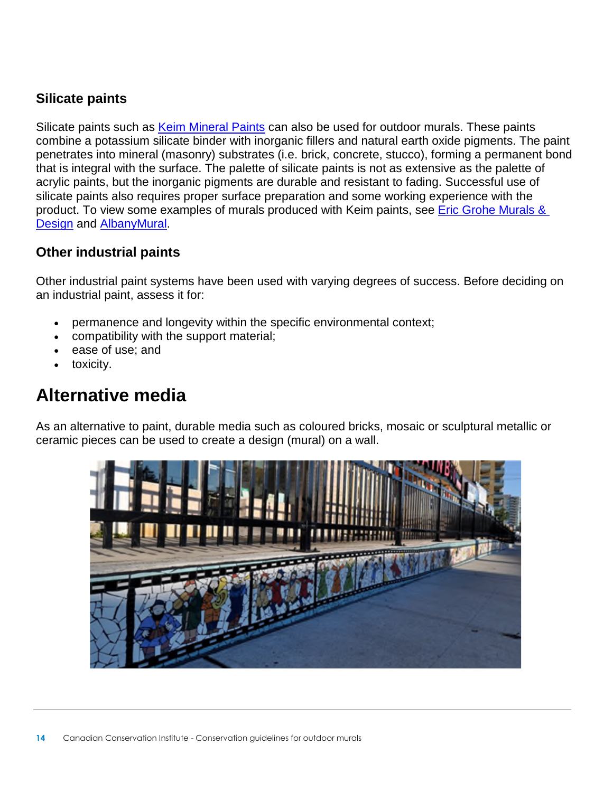#### **Silicate paints**

Silicate paints such as [Keim Mineral Paints](https://www.keim-usa.com/) can also be used for outdoor murals. These paints combine a potassium silicate binder with inorganic fillers and natural earth oxide pigments. The paint penetrates into mineral (masonry) substrates (i.e. brick, concrete, stucco), forming a permanent bond that is integral with the surface. The palette of silicate paints is not as extensive as the palette of acrylic paints, but the inorganic pigments are durable and resistant to fading. Successful use of silicate paints also requires proper surface preparation and some working experience with the product. To view some examples of murals produced with Keim paints, see [Eric Grohe Murals &](http://www.ericgrohemurals.com/)  [Design](http://www.ericgrohemurals.com/) and [AlbanyMural.](http://thefinishedwall.net/projects/albany-mural/)

#### **Other industrial paints**

Other industrial paint systems have been used with varying degrees of success. Before deciding on an industrial paint, assess it for:

- permanence and longevity within the specific environmental context;
- compatibility with the support material;
- ease of use; and
- toxicity.

## **Alternative media**

As an alternative to paint, durable media such as coloured bricks, mosaic or sculptural metallic or ceramic pieces can be used to create a design (mural) on a wall.

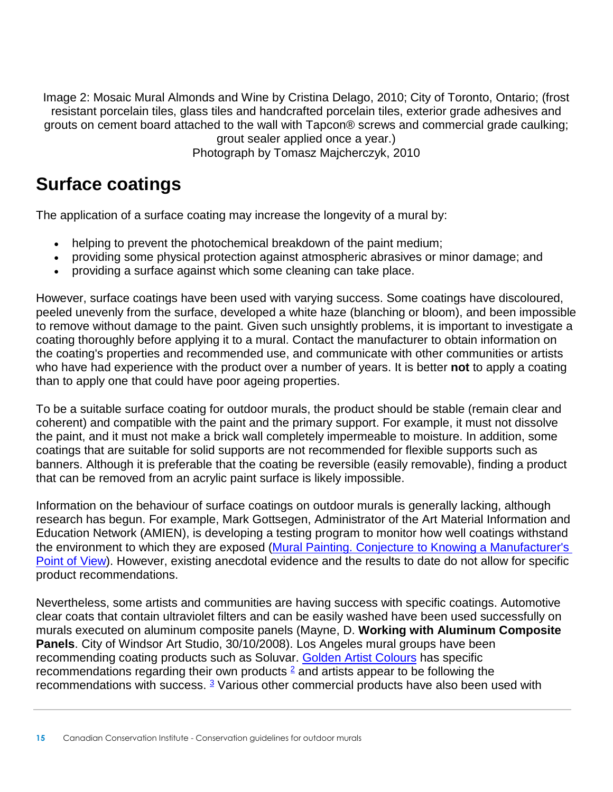Image 2: Mosaic Mural Almonds and Wine by Cristina Delago, 2010; City of Toronto, Ontario; (frost resistant porcelain tiles, glass tiles and handcrafted porcelain tiles, exterior grade adhesives and grouts on cement board attached to the wall with Tapcon® screws and commercial grade caulking; grout sealer applied once a year.) Photograph by Tomasz Majcherczyk, 2010

### **Surface coatings**

The application of a surface coating may increase the longevity of a mural by:

- helping to prevent the photochemical breakdown of the paint medium;
- providing some physical protection against atmospheric abrasives or minor damage; and
- providing a surface against which some cleaning can take place.

However, surface coatings have been used with varying success. Some coatings have discoloured, peeled unevenly from the surface, developed a white haze (blanching or bloom), and been impossible to remove without damage to the paint. Given such unsightly problems, it is important to investigate a coating thoroughly before applying it to a mural. Contact the manufacturer to obtain information on the coating's properties and recommended use, and communicate with other communities or artists who have had experience with the product over a number of years. It is better **not** to apply a coating than to apply one that could have poor ageing properties.

To be a suitable surface coating for outdoor murals, the product should be stable (remain clear and coherent) and compatible with the paint and the primary support. For example, it must not dissolve the paint, and it must not make a brick wall completely impermeable to moisture. In addition, some coatings that are suitable for solid supports are not recommended for flexible supports such as banners. Although it is preferable that the coating be reversible (easily removable), finding a product that can be removed from an acrylic paint surface is likely impossible.

Information on the behaviour of surface coatings on outdoor murals is generally lacking, although research has begun. For example, Mark Gottsegen, Administrator of the Art Material Information and Education Network (AMIEN), is developing a testing program to monitor how well coatings withstand the environment to which they are exposed [\(Mural Painting. Conjecture to Knowing a Manufacturer's](http://www.justpaint.org/mural-painting-conjecture-to-knowing-a-manufacturers-point-of-view/)  [Point of View\)](http://www.justpaint.org/mural-painting-conjecture-to-knowing-a-manufacturers-point-of-view/). However, existing anecdotal evidence and the results to date do not allow for specific product recommendations.

Nevertheless, some artists and communities are having success with specific coatings. Automotive clear coats that contain ultraviolet filters and can be easily washed have been used successfully on murals executed on aluminum composite panels (Mayne, D. **Working with Aluminum Composite Panels**. City of Windsor Art Studio, 30/10/2008). Los Angeles mural groups have been recommending coating products such as Soluvar. [Golden Artist Colours](http://www.goldenpaints.com/technicaldata/murals.php) has specific recommendations regarding their own products  $\frac{2}{3}$  $\frac{2}{3}$  $\frac{2}{3}$  and artists appear to be following the recommendations with success. <sup>[3](https://www.canada.ca/en/conservation-institute/services/care-objects/fine-art/conservation-guidelines-outdoor-murals/creating-new-mural.html#fn3)</sup> Various other commercial products have also been used with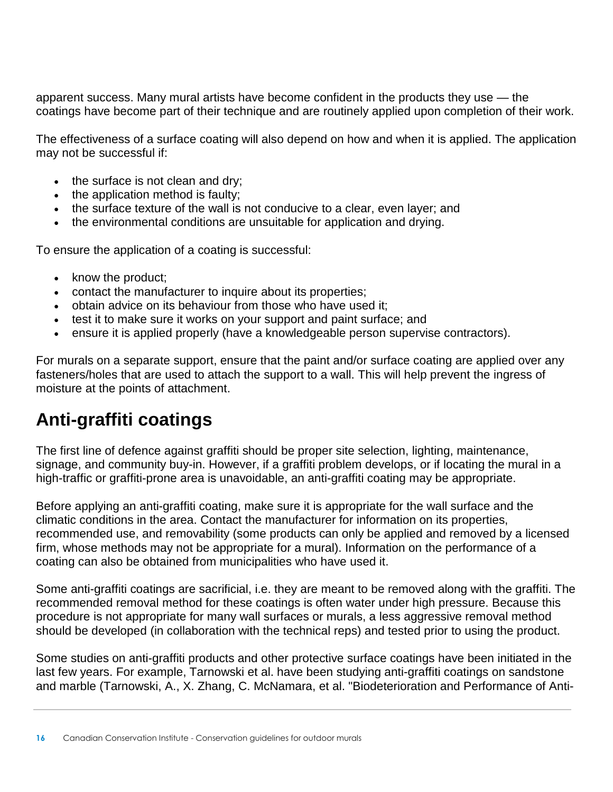apparent success. Many mural artists have become confident in the products they use — the coatings have become part of their technique and are routinely applied upon completion of their work.

The effectiveness of a surface coating will also depend on how and when it is applied. The application may not be successful if:

- the surface is not clean and dry;
- the application method is faulty:
- the surface texture of the wall is not conducive to a clear, even layer; and
- the environmental conditions are unsuitable for application and drying.

To ensure the application of a coating is successful:

- $\bullet$  know the product;
- contact the manufacturer to inquire about its properties;
- obtain advice on its behaviour from those who have used it;
- test it to make sure it works on your support and paint surface; and
- ensure it is applied properly (have a knowledgeable person supervise contractors).

For murals on a separate support, ensure that the paint and/or surface coating are applied over any fasteners/holes that are used to attach the support to a wall. This will help prevent the ingress of moisture at the points of attachment.

## **Anti-graffiti coatings**

The first line of defence against graffiti should be proper site selection, lighting, maintenance, signage, and community buy-in. However, if a graffiti problem develops, or if locating the mural in a high-traffic or graffiti-prone area is unavoidable, an anti-graffiti coating may be appropriate.

Before applying an anti-graffiti coating, make sure it is appropriate for the wall surface and the climatic conditions in the area. Contact the manufacturer for information on its properties, recommended use, and removability (some products can only be applied and removed by a licensed firm, whose methods may not be appropriate for a mural). Information on the performance of a coating can also be obtained from municipalities who have used it.

Some anti-graffiti coatings are sacrificial, i.e. they are meant to be removed along with the graffiti. The recommended removal method for these coatings is often water under high pressure. Because this procedure is not appropriate for many wall surfaces or murals, a less aggressive removal method should be developed (in collaboration with the technical reps) and tested prior to using the product.

Some studies on anti-graffiti products and other protective surface coatings have been initiated in the last few years. For example, Tarnowski et al. have been studying anti-graffiti coatings on sandstone and marble (Tarnowski, A., X. Zhang, C. McNamara, et al. "Biodeterioration and Performance of Anti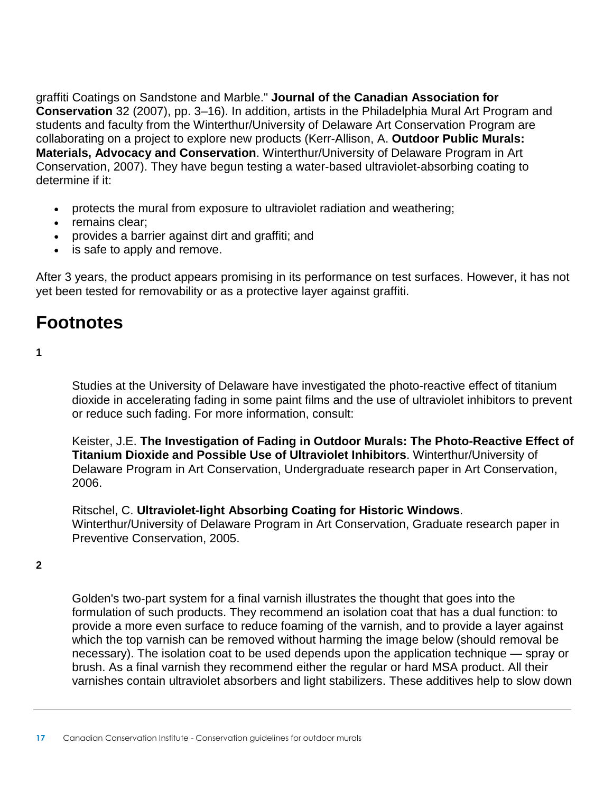graffiti Coatings on Sandstone and Marble." **Journal of the Canadian Association for Conservation** 32 (2007), pp. 3–16). In addition, artists in the Philadelphia Mural Art Program and students and faculty from the Winterthur/University of Delaware Art Conservation Program are collaborating on a project to explore new products (Kerr-Allison, A. **Outdoor Public Murals: Materials, Advocacy and Conservation**. Winterthur/University of Delaware Program in Art Conservation, 2007). They have begun testing a water-based ultraviolet-absorbing coating to determine if it:

- protects the mural from exposure to ultraviolet radiation and weathering;
- remains clear:
- provides a barrier against dirt and graffiti; and
- is safe to apply and remove.

After 3 years, the product appears promising in its performance on test surfaces. However, it has not yet been tested for removability or as a protective layer against graffiti.

### **Footnotes**

**1** 

Studies at the University of Delaware have investigated the photo-reactive effect of titanium dioxide in accelerating fading in some paint films and the use of ultraviolet inhibitors to prevent or reduce such fading. For more information, consult:

Keister, J.E. **The Investigation of Fading in Outdoor Murals: The Photo-Reactive Effect of Titanium Dioxide and Possible Use of Ultraviolet Inhibitors**. Winterthur/University of Delaware Program in Art Conservation, Undergraduate research paper in Art Conservation, 2006.

Ritschel, C. **Ultraviolet-light Absorbing Coating for Historic Windows**. Winterthur/University of Delaware Program in Art Conservation, Graduate research paper in Preventive Conservation, 2005.

**2** 

Golden's two-part system for a final varnish illustrates the thought that goes into the formulation of such products. They recommend an isolation coat that has a dual function: to provide a more even surface to reduce foaming of the varnish, and to provide a layer against which the top varnish can be removed without harming the image below (should removal be necessary). The isolation coat to be used depends upon the application technique — spray or brush. As a final varnish they recommend either the regular or hard MSA product. All their varnishes contain ultraviolet absorbers and light stabilizers. These additives help to slow down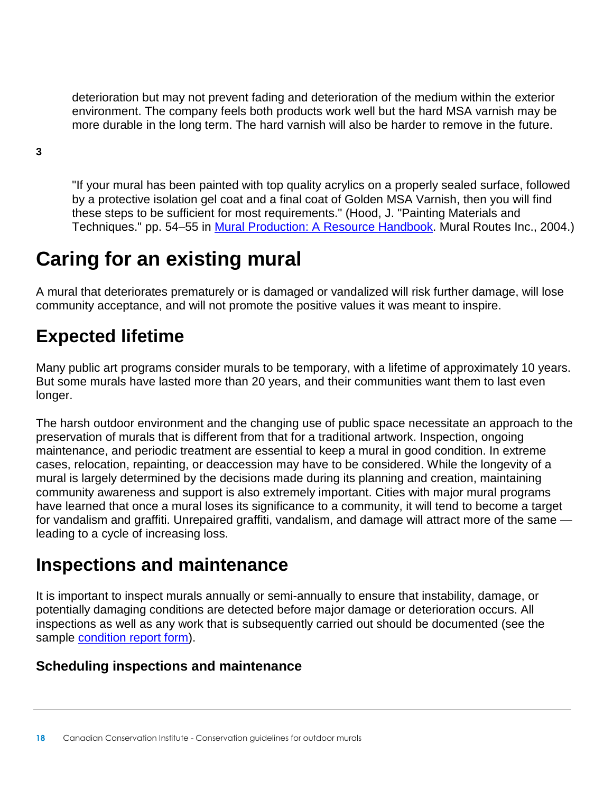deterioration but may not prevent fading and deterioration of the medium within the exterior environment. The company feels both products work well but the hard MSA varnish may be more durable in the long term. The hard varnish will also be harder to remove in the future.

**3** 

"If your mural has been painted with top quality acrylics on a properly sealed surface, followed by a protective isolation gel coat and a final coat of Golden MSA Varnish, then you will find these steps to be sufficient for most requirements." (Hood, J. "Painting Materials and Techniques." pp. 54–55 in [Mural Production: A Resource Handbook.](http://www.muralroutes.com/handbook/handbook.htm) Mural Routes Inc., 2004.)

# **Caring for an existing mural**

A mural that deteriorates prematurely or is damaged or vandalized will risk further damage, will lose community acceptance, and will not promote the positive values it was meant to inspire.

# **Expected lifetime**

Many public art programs consider murals to be temporary, with a lifetime of approximately 10 years. But some murals have lasted more than 20 years, and their communities want them to last even longer.

The harsh outdoor environment and the changing use of public space necessitate an approach to the preservation of murals that is different from that for a traditional artwork. Inspection, ongoing maintenance, and periodic treatment are essential to keep a mural in good condition. In extreme cases, relocation, repainting, or deaccession may have to be considered. While the longevity of a mural is largely determined by the decisions made during its planning and creation, maintaining community awareness and support is also extremely important. Cities with major mural programs have learned that once a mural loses its significance to a community, it will tend to become a target for vandalism and graffiti. Unrepaired graffiti, vandalism, and damage will attract more of the same leading to a cycle of increasing loss.

## **Inspections and maintenance**

It is important to inspect murals annually or semi-annually to ensure that instability, damage, or potentially damaging conditions are detected before major damage or deterioration occurs. All inspections as well as any work that is subsequently carried out should be documented (see the sample [condition report form\)](https://www.canada.ca/en/conservation-institute/services/care-objects/fine-art/conservation-guidelines-outdoor-murals/condition-report-inspection-record/outdoor-mural-condition-report-form.html).

#### **Scheduling inspections and maintenance**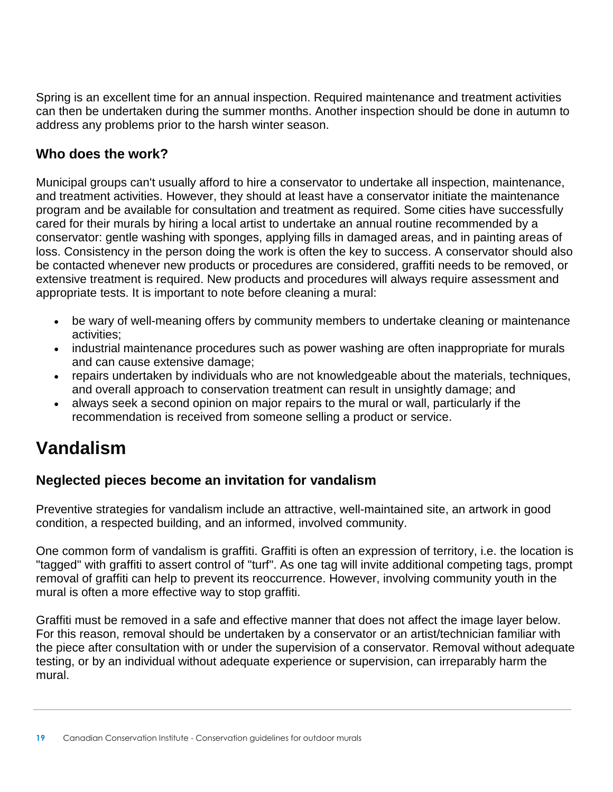Spring is an excellent time for an annual inspection. Required maintenance and treatment activities can then be undertaken during the summer months. Another inspection should be done in autumn to address any problems prior to the harsh winter season.

#### **Who does the work?**

Municipal groups can't usually afford to hire a conservator to undertake all inspection, maintenance, and treatment activities. However, they should at least have a conservator initiate the maintenance program and be available for consultation and treatment as required. Some cities have successfully cared for their murals by hiring a local artist to undertake an annual routine recommended by a conservator: gentle washing with sponges, applying fills in damaged areas, and in painting areas of loss. Consistency in the person doing the work is often the key to success. A conservator should also be contacted whenever new products or procedures are considered, graffiti needs to be removed, or extensive treatment is required. New products and procedures will always require assessment and appropriate tests. It is important to note before cleaning a mural:

- be wary of well-meaning offers by community members to undertake cleaning or maintenance activities;
- industrial maintenance procedures such as power washing are often inappropriate for murals and can cause extensive damage;
- repairs undertaken by individuals who are not knowledgeable about the materials, techniques, and overall approach to conservation treatment can result in unsightly damage; and
- always seek a second opinion on major repairs to the mural or wall, particularly if the recommendation is received from someone selling a product or service.

# **Vandalism**

#### **Neglected pieces become an invitation for vandalism**

Preventive strategies for vandalism include an attractive, well-maintained site, an artwork in good condition, a respected building, and an informed, involved community.

One common form of vandalism is graffiti. Graffiti is often an expression of territory, i.e. the location is "tagged" with graffiti to assert control of "turf". As one tag will invite additional competing tags, prompt removal of graffiti can help to prevent its reoccurrence. However, involving community youth in the mural is often a more effective way to stop graffiti.

Graffiti must be removed in a safe and effective manner that does not affect the image layer below. For this reason, removal should be undertaken by a conservator or an artist/technician familiar with the piece after consultation with or under the supervision of a conservator. Removal without adequate testing, or by an individual without adequate experience or supervision, can irreparably harm the mural.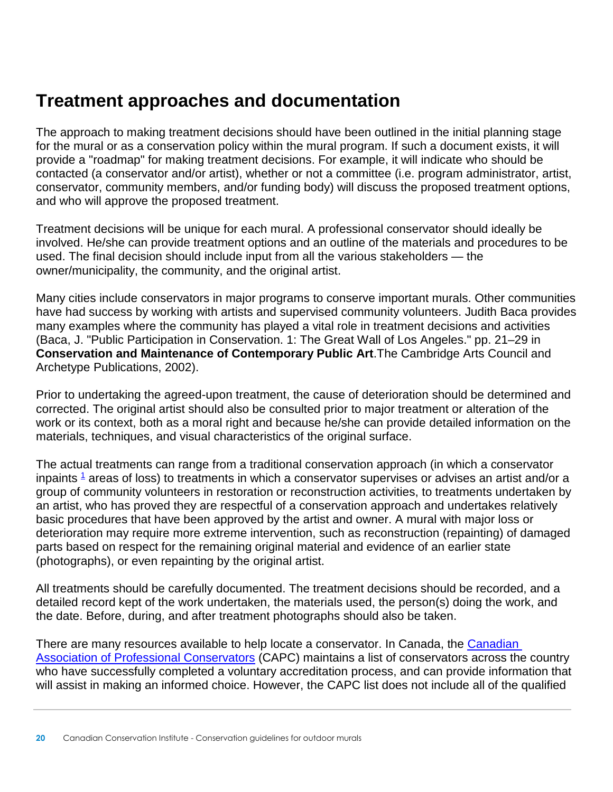### **Treatment approaches and documentation**

The approach to making treatment decisions should have been outlined in the initial planning stage for the mural or as a conservation policy within the mural program. If such a document exists, it will provide a "roadmap" for making treatment decisions. For example, it will indicate who should be contacted (a conservator and/or artist), whether or not a committee (i.e. program administrator, artist, conservator, community members, and/or funding body) will discuss the proposed treatment options, and who will approve the proposed treatment.

Treatment decisions will be unique for each mural. A professional conservator should ideally be involved. He/she can provide treatment options and an outline of the materials and procedures to be used. The final decision should include input from all the various stakeholders — the owner/municipality, the community, and the original artist.

Many cities include conservators in major programs to conserve important murals. Other communities have had success by working with artists and supervised community volunteers. Judith Baca provides many examples where the community has played a vital role in treatment decisions and activities (Baca, J. "Public Participation in Conservation. 1: The Great Wall of Los Angeles." pp. 21–29 in **Conservation and Maintenance of Contemporary Public Art**.The Cambridge Arts Council and Archetype Publications, 2002).

Prior to undertaking the agreed-upon treatment, the cause of deterioration should be determined and corrected. The original artist should also be consulted prior to major treatment or alteration of the work or its context, both as a moral right and because he/she can provide detailed information on the materials, techniques, and visual characteristics of the original surface.

The actual treatments can range from a traditional conservation approach (in which a conservator inpaints  $1$  areas of loss) to treatments in which a conservator supervises or advises an artist and/or a group of community volunteers in restoration or reconstruction activities, to treatments undertaken by an artist, who has proved they are respectful of a conservation approach and undertakes relatively basic procedures that have been approved by the artist and owner. A mural with major loss or deterioration may require more extreme intervention, such as reconstruction (repainting) of damaged parts based on respect for the remaining original material and evidence of an earlier state (photographs), or even repainting by the original artist.

All treatments should be carefully documented. The treatment decisions should be recorded, and a detailed record kept of the work undertaken, the materials used, the person(s) doing the work, and the date. Before, during, and after treatment photographs should also be taken.

There are many resources available to help locate a conservator. In Canada, the [Canadian](http://capc-acrp.ca/what_is_capc.asp)  [Association of Professional Conservators](http://capc-acrp.ca/what_is_capc.asp) (CAPC) maintains a list of conservators across the country who have successfully completed a voluntary accreditation process, and can provide information that will assist in making an informed choice. However, the CAPC list does not include all of the qualified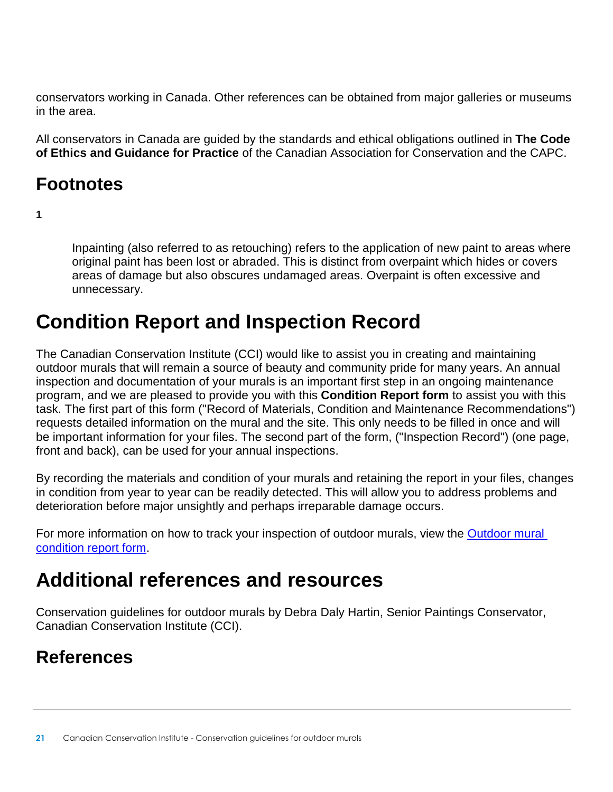conservators working in Canada. Other references can be obtained from major galleries or museums in the area.

All conservators in Canada are guided by the standards and ethical obligations outlined in **The Code of Ethics and Guidance for Practice** of the Canadian Association for Conservation and the CAPC.

## **Footnotes**

**1** 

Inpainting (also referred to as retouching) refers to the application of new paint to areas where original paint has been lost or abraded. This is distinct from overpaint which hides or covers areas of damage but also obscures undamaged areas. Overpaint is often excessive and unnecessary.

# **Condition Report and Inspection Record**

The Canadian Conservation Institute (CCI) would like to assist you in creating and maintaining outdoor murals that will remain a source of beauty and community pride for many years. An annual inspection and documentation of your murals is an important first step in an ongoing maintenance program, and we are pleased to provide you with this **Condition Report form** to assist you with this task. The first part of this form ("Record of Materials, Condition and Maintenance Recommendations") requests detailed information on the mural and the site. This only needs to be filled in once and will be important information for your files. The second part of the form, ("Inspection Record") (one page, front and back), can be used for your annual inspections.

By recording the materials and condition of your murals and retaining the report in your files, changes in condition from year to year can be readily detected. This will allow you to address problems and deterioration before major unsightly and perhaps irreparable damage occurs.

For more information on how to track your inspection of outdoor murals, view the Outdoor mural [condition report form.](https://www.canada.ca/en/conservation-institute/services/care-objects/fine-art/conservation-guidelines-outdoor-murals/condition-report-inspection-record/outdoor-mural-condition-report-form.html)

# **Additional references and resources**

Conservation guidelines for outdoor murals by Debra Daly Hartin, Senior Paintings Conservator, Canadian Conservation Institute (CCI).

# **References**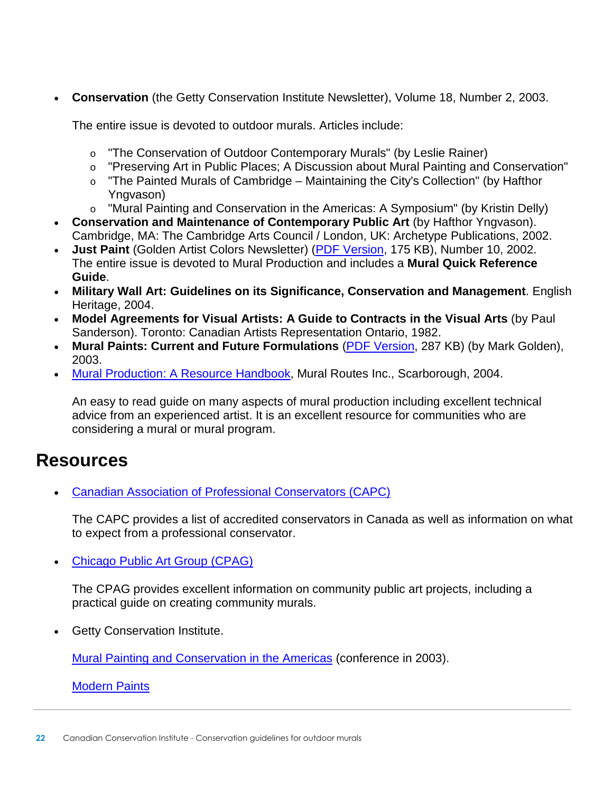**Conservation** (the Getty Conservation Institute Newsletter), Volume 18, Number 2, 2003.

The entire issue is devoted to outdoor murals. Articles include:

- o "The Conservation of Outdoor Contemporary Murals" (by Leslie Rainer)
- o "Preserving Art in Public Places; A Discussion about Mural Painting and Conservation"
- $\circ$  "The Painted Murals of Cambridge Maintaining the City's Collection" (by Hafthor Yngvason)
- o "Mural Painting and Conservation in the Americas: A Symposium" (by Kristin Delly)
- **Conservation and Maintenance of Contemporary Public Art** (by Hafthor Yngvason). Cambridge, MA: The Cambridge Arts Council / London, UK: Archetype Publications, 2002.
- **Just Paint** (Golden Artist Colors Newsletter) [\(PDF Version,](http://www.goldenpaints.com/justpaint/jp10.pdf) 175 KB), Number 10, 2002. The entire issue is devoted to Mural Production and includes a **Mural Quick Reference Guide**.
- **Military Wall Art: Guidelines on its Significance, Conservation and Management**. English Heritage, 2004.
- **Model Agreements for Visual Artists: A Guide to Contracts in the Visual Arts** (by Paul Sanderson). Toronto: Canadian Artists Representation Ontario, 1982.
- **Mural Paints: Current and Future Formulations** [\(PDF Version,](http://www.getty.edu/conservation/publications_resources/pdf_publications/pdf/golden.pdf) 287 KB) (by Mark Golden), 2003.
- [Mural Production: A Resource Handbook,](http://www.muralroutes.com/handbook/handbook.htm) Mural Routes Inc., Scarborough, 2004.

An easy to read guide on many aspects of mural production including excellent technical advice from an experienced artist. It is an excellent resource for communities who are considering a mural or mural program.

### **Resources**

[Canadian Association of Professional Conservators \(CAPC\)](http://capc-acrp.ca/what_is_capc.asp) 

The CAPC provides a list of accredited conservators in Canada as well as information on what to expect from a professional conservator.

[Chicago Public Art Group \(CPAG\)](http://cpag.net/guide/2/2_pages/2.htm) 

The CPAG provides excellent information on community public art projects, including a practical guide on creating community murals.

Getty Conservation Institute.

[Mural Painting and Conservation in the Americas](http://www.getty.edu/conservation/public_programs/conferences/mural.html) (conference in 2003).

[Modern Paints](http://www.getty.edu/conservation/our_projects/science/modpaints/index.html)